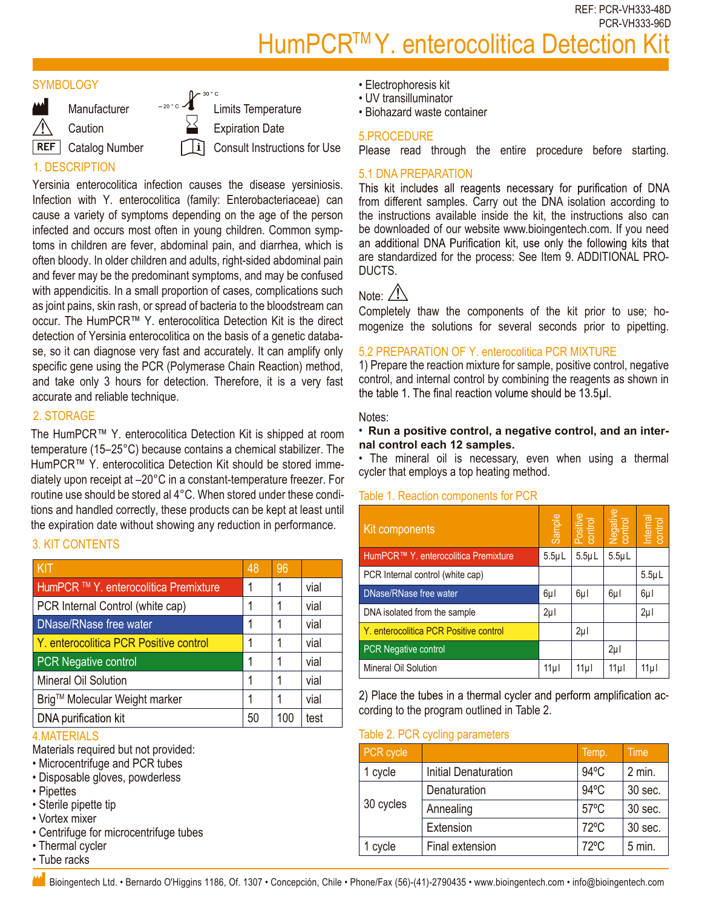REF: PCR-VH333-48D PCR-VH333-96D

# HumPCR<sup>™</sup>Y. enterocolitica Detection

#### **SYMBOLOGY**



**Caution** 

**REF** Catalog Number

 $\mathcal{L}^{\text{30}^{\circ}c}$  Limits Temperature Expiration Date

Consult Instructions for Use

# 1. DESCRIPTION

Yersinia enterocolitica infection causes the disease yersiniosis. Infection with Y. enterocolitica (family: Enterobacteriaceae) can cause a variety of symptoms depending on the age of the person infected and occurs most often in young children. Common symptoms in children are fever, abdominal pain, and diarrhea, which is often bloody. In older children and adults, right-sided abdominal pain and fever may be the predominant symptoms, and may be confused with appendicitis. In a small proportion of cases, complications such as joint pains, skin rash, or spread of bacteria to the bloodstream can occur. The HumPCR™ Y. enterocolitica Detection Kit is the direct detection of Yersinia enterocolitica on the basis of a genetic database, so it can diagnose very fast and accurately. It can amplify only specific gene using the PCR (Polymerase Chain Reaction) method, and take only 3 hours for detection. Therefore, it is a very fast accurate and reliable technique.

# 2. STORAGE

The HumPCR™ Y. enterocolitica Detection Kit is shipped at room temperature (15–25°C) because contains a chemical stabilizer. The HumPCR™ Y. enterocolitica Detection Kit should be stored immediately upon receipt at –20°C in a constant-temperature freezer. For routine use should be stored al 4°C. When stored under these conditions and handled correctly, these products can be kept at least until the expiration date without showing any reduction in performance.

## 3. KIT CONTENTS

| <b>KIT</b>                             | 48 | 96  |      |
|----------------------------------------|----|-----|------|
| HumPCR ™ Y. enterocolitica Premixture  | 1  |     | vial |
| PCR Internal Control (white cap)       |    |     | vial |
| DNase/RNase free water                 | 1  |     | vial |
| Y. enterocolitica PCR Positive control | 1  |     | vial |
| <b>PCR Negative control</b>            | 1  |     | vial |
| Mineral Oil Solution                   |    |     | vial |
| Brig™ Molecular Weight marker          |    |     | vial |
| DNA purification kit                   | 50 | 100 | test |

## 4.MATERIALS

Materials required but not provided:

- Microcentrifuge and PCR tubes
- Disposable gloves, powderless
- Pipettes
- Sterile pipette tip
- Vortex mixer
- Centrifuge for microcentrifuge tubes
- Thermal cycler
- Tube racks
- Electrophoresis kit
- UV transilluminator
- Biohazard waste container

#### 5.PROCEDURE

Please read through the entire procedure before starting.

### 5.1 DNA PREPARATION

This kit includes all reagents necessary for purification of DNA from different samples. Carry out the DNA isolation according to the instructions available inside the kit, the instructions also can be downloaded of our website www.bioingentech.com. If you need an additional DNA Purification kit, use only the following kits that are standardized for the process: See Item 9. ADDITIONAL PRO-DUCTS.

# Note:  $\angle N$

Completely thaw the components of the kit prior to use; homogenize the solutions for several seconds prior to pipetting.

#### 5.2 PREPARATION OF Y. enterocolitica PCR MIXTURE

1) Prepare the reaction mixture for sample, positive control, negative control, and internal control by combining the reagents as shown in the table 1. The final reaction volume should be 13.5µl.

#### Notes:

#### • **Run a positive control, a negative control, and an internal control each 12 samples.**

• The mineral oil is necessary, even when using a thermal cycler that employs a top heating method.

#### Table 1. Reaction components for PCR

| s and handled correctly, these products can be kept at least until<br>expiration date without showing any reduction in performance.<br><b>IT CONTENTS</b>      |    |           | Kit components              |                                                                      | Sample                               | Positive<br>control | Negative<br>control | Internal    |             |
|----------------------------------------------------------------------------------------------------------------------------------------------------------------|----|-----------|-----------------------------|----------------------------------------------------------------------|--------------------------------------|---------------------|---------------------|-------------|-------------|
|                                                                                                                                                                |    |           |                             |                                                                      | HumPCR™ Y. enterocolitica Premixture | $5.5 \mu L$         | $5.5\mu L$          | $5.5 \mu L$ |             |
|                                                                                                                                                                | 48 | 96        |                             | PCR Internal control (white cap)                                     |                                      |                     |                     |             | $5.5 \mu L$ |
| mPCR ™ Y. enterocolitica Premixture                                                                                                                            | 1  |           | vial                        | DNase/RNase free water                                               |                                      | $6\mu$              | $6\mu$              | $6\mu$      | $6\mu$      |
| R Internal Control (white cap)                                                                                                                                 |    |           | vial                        | DNA isolated from the sample                                         |                                      | $2\mu$              |                     |             | $2\mu$      |
| lase/RNase free water                                                                                                                                          | 1  |           | vial                        | Y. enterocolitica PCR Positive control                               |                                      |                     | $2\mu$              |             |             |
| enterocolitica PCR Positive control                                                                                                                            | 1  |           | vial                        | PCR Negative control                                                 |                                      |                     |                     | $2\mu$      |             |
| <b>R</b> Negative control                                                                                                                                      | 1  |           | vial                        | Mineral Oil Solution                                                 |                                      | 11µ                 | 11µ                 | 11µ         | 11µl        |
| neral Oil Solution                                                                                                                                             | 1  |           | vial                        |                                                                      |                                      |                     |                     |             |             |
| g™ Molecular Weight marker                                                                                                                                     | 1  |           | vial                        | 2) Place the tubes in a thermal cycler and perform amplification ac- |                                      |                     |                     |             |             |
| <b>JA</b> purification kit                                                                                                                                     | 50 | 100       | test                        | cording to the program outlined in Table 2.                          |                                      |                     |                     |             |             |
| <b>ATERIALS</b>                                                                                                                                                |    |           |                             |                                                                      | Table 2. PCR cycling parameters      |                     |                     |             |             |
| erials required but not provided:                                                                                                                              |    | PCR cycle |                             |                                                                      | Temp.                                |                     | Time                |             |             |
| crocentrifuge and PCR tubes<br>sposable gloves, powderless<br>pettes<br>erile pipette tip<br>rtex mixer<br>entrifuge for microcentrifuge tubes<br>ermal cycler |    | 1 cycle   | <b>Initial Denaturation</b> |                                                                      | 94°C                                 |                     | 2 min.              |             |             |
|                                                                                                                                                                |    | 30 cycles | Denaturation                |                                                                      | $94^{\circ}$ C                       |                     | 30 sec.             |             |             |
|                                                                                                                                                                |    |           | Annealing                   |                                                                      | $57^{\circ}$ C                       |                     | 30 sec.             |             |             |
|                                                                                                                                                                |    |           | Extension                   |                                                                      | 72°C                                 |                     | 30 sec.             |             |             |
|                                                                                                                                                                |    | 1 cycle   | Final extension             |                                                                      | 72°C                                 |                     | $5$ min.            |             |             |
| be racks                                                                                                                                                       |    |           |                             |                                                                      |                                      |                     |                     |             |             |
| Bioingentech Ltd. • Bernardo O'Higgins 1186, Of. 1307 • Concepción, Chile • Phone/Fax (56)-(41)-2790435 • www.bioingentech.com • info@bioingentech.com         |    |           |                             |                                                                      |                                      |                     |                     |             |             |

#### Table 2. PCR cycling parameters

| PCR cycle |                             | Temp.          | <b>Time</b> |
|-----------|-----------------------------|----------------|-------------|
| 1 cycle   | <b>Initial Denaturation</b> | $94^{\circ}$ C | $2$ min.    |
| 30 cycles | Denaturation                | $94^{\circ}$ C | 30 sec.     |
|           | Annealing                   | $57^{\circ}$ C | 30 sec.     |
|           | Extension                   | $72^{\circ}$ C | 30 sec.     |
| 1 cycle   | Final extension             | $72^{\circ}$ C | $5$ min.    |